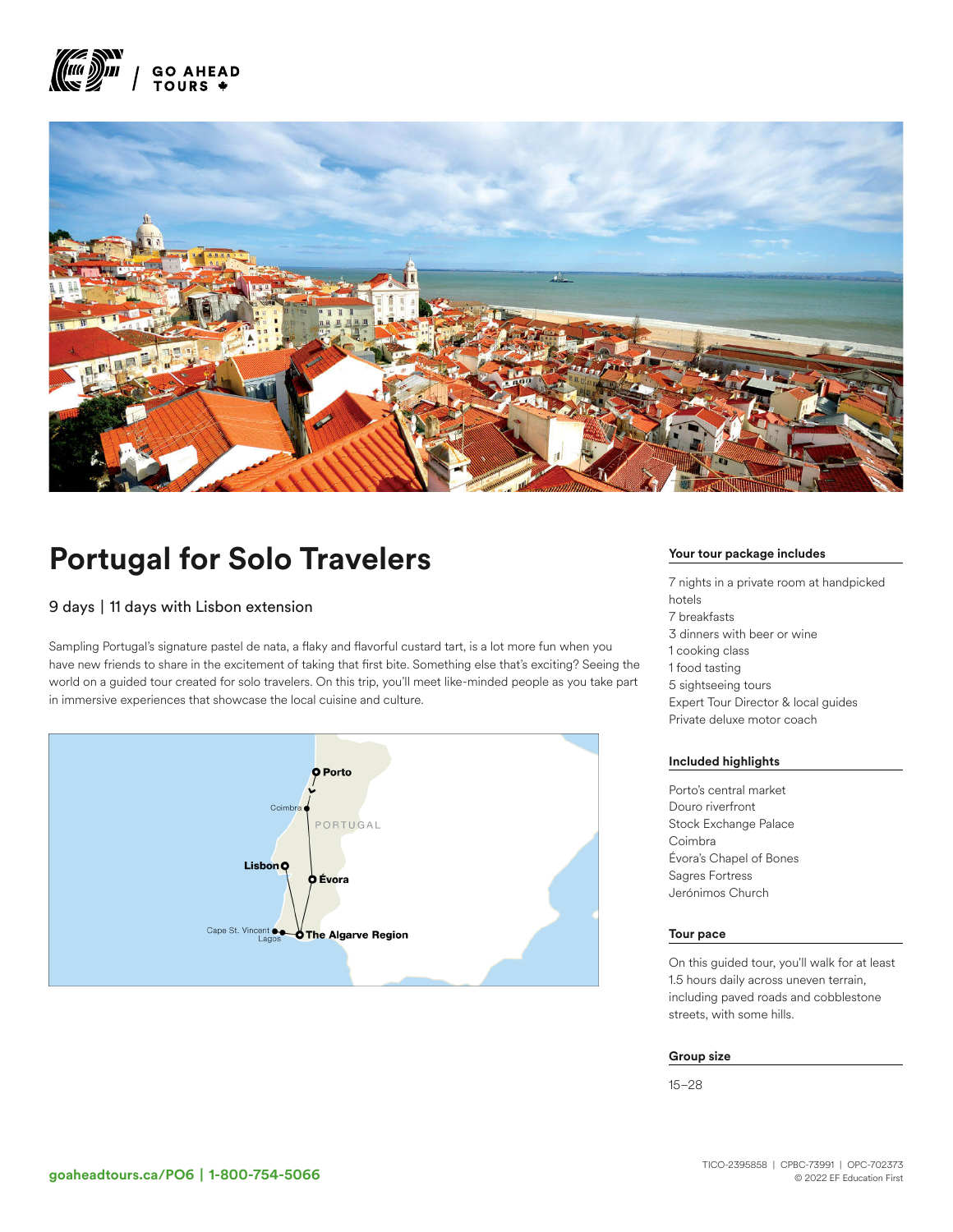



# Portugal for Solo Travelers

# 9 days | 11 days with Lisbon extension

Sampling Portugal's signature pastel de nata, a flaky and flavorful custard tart, is a lot more fun when you have new friends to share in the excitement of taking that first bite. Something else that's exciting? Seeing the world on a guided tour created for solo travelers. On this trip, you'll meet like-minded people as you take part in immersive experiences that showcase the local cuisine and culture.



#### Your tour package includes

7 nights in a private room at handpicked hotels 7 breakfasts 3 dinners with beer or wine 1 cooking class 1 food tasting 5 sightseeing tours Expert Tour Director & local guides Private deluxe motor coach

#### Included highlights

Porto's central market Douro riverfront Stock Exchange Palace Coimbra Évora's Chapel of Bones Sagres Fortress Jerónimos Church

#### Tour pace

On this guided tour, you'll walk for at least 1.5 hours daily across uneven terrain, including paved roads and cobblestone streets, with some hills.

#### Group size

15–28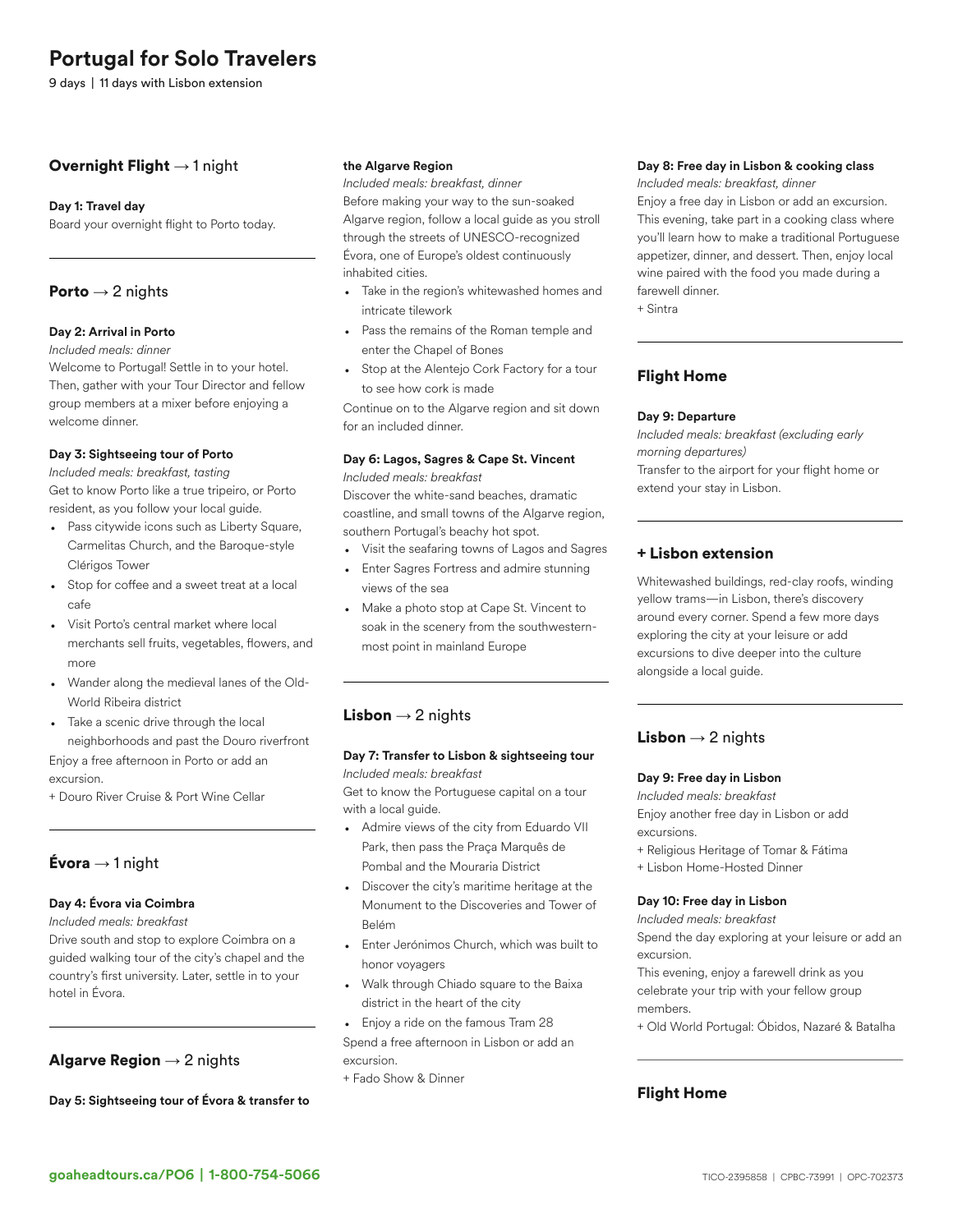# Portugal for Solo Travelers

9 days | 11 days with Lisbon extension

# Overnight Flight  $\rightarrow$  1 night

#### Day 1: Travel day

Board your overnight flight to Porto today.

### **Porto**  $\rightarrow$  2 nights

#### Day 2: Arrival in Porto

*Included meals: dinner*

Welcome to Portugal! Settle in to your hotel. Then, gather with your Tour Director and fellow group members at a mixer before enjoying a welcome dinner.

#### Day 3: Sightseeing tour of Porto

*Included meals: breakfast, tasting* Get to know Porto like a true tripeiro, or Porto resident, as you follow your local guide.

- Pass citywide icons such as Liberty Square, Carmelitas Church, and the Baroque-style Clérigos Tower
- Stop for coffee and a sweet treat at a local cafe
- Visit Porto's central market where local merchants sell fruits, vegetables, flowers, and more
- Wander along the medieval lanes of the Old-World Ribeira district
- Take a scenic drive through the local neighborhoods and past the Douro riverfront

Enjoy a free afternoon in Porto or add an excursion.

+ Douro River Cruise & Port Wine Cellar

# **Évora**  $\rightarrow$  1 night

#### Day 4: Évora via Coimbra

*Included meals: breakfast*

Drive south and stop to explore Coimbra on a guided walking tour of the city's chapel and the country's first university. Later, settle in to your hotel in Évora.

# Algarve Region  $\rightarrow$  2 nights

Day 5: Sightseeing tour of Évora & transfer to

#### the Algarve Region

*Included meals: breakfast, dinner* Before making your way to the sun-soaked Algarve region, follow a local guide as you stroll through the streets of UNESCO-recognized Évora, one of Europe's oldest continuously inhabited cities.

- Take in the region's whitewashed homes and intricate tilework
- Pass the remains of the Roman temple and enter the Chapel of Bones
- Stop at the Alentejo Cork Factory for a tour to see how cork is made

Continue on to the Algarve region and sit down for an included dinner.

# Day 6: Lagos, Sagres & Cape St. Vincent

*Included meals: breakfast*

Discover the white-sand beaches, dramatic coastline, and small towns of the Algarve region, southern Portugal's beachy hot spot.

- Visit the seafaring towns of Lagos and Sagres
- Enter Sagres Fortress and admire stunning views of the sea
- Make a photo stop at Cape St. Vincent to soak in the scenery from the southwesternmost point in mainland Europe

## **Lisbon**  $\rightarrow$  2 nights

#### Day 7: Transfer to Lisbon & sightseeing tour *Included meals: breakfast*

Get to know the Portuguese capital on a tour with a local guide.

- Admire views of the city from Eduardo VII Park, then pass the Praça Marquês de Pombal and the Mouraria District
- Discover the city's maritime heritage at the Monument to the Discoveries and Tower of Belém
- Enter Jerónimos Church, which was built to honor voyagers
- Walk through Chiado square to the Baixa district in the heart of the city
- Enjoy a ride on the famous Tram 28

Spend a free afternoon in Lisbon or add an excursion.

+ Fado Show & Dinner

#### Day 8: Free day in Lisbon & cooking class

*Included meals: breakfast, dinner*

Enjoy a free day in Lisbon or add an excursion. This evening, take part in a cooking class where you'll learn how to make a traditional Portuguese appetizer, dinner, and dessert. Then, enjoy local wine paired with the food you made during a farewell dinner.

+ Sintra

# Flight Home

#### Day 9: Departure

*Included meals: breakfast (excluding early morning departures)* Transfer to the airport for your flight home or extend your stay in Lisbon.

# + Lisbon extension

Whitewashed buildings, red-clay roofs, winding yellow trams—in Lisbon, there's discovery around every corner. Spend a few more days exploring the city at your leisure or add excursions to dive deeper into the culture alongside a local guide.

# **Lisbon**  $\rightarrow$  2 nights

#### Day 9: Free day in Lisbon

*Included meals: breakfast* Enjoy another free day in Lisbon or add excursions.

- + Religious Heritage of Tomar & Fátima
- + Lisbon Home-Hosted Dinner

#### Day 10: Free day in Lisbon

*Included meals: breakfast*

Spend the day exploring at your leisure or add an excursion.

This evening, enjoy a farewell drink as you celebrate your trip with your fellow group members.

+ Old World Portugal: Óbidos, Nazaré & Batalha

# Flight Home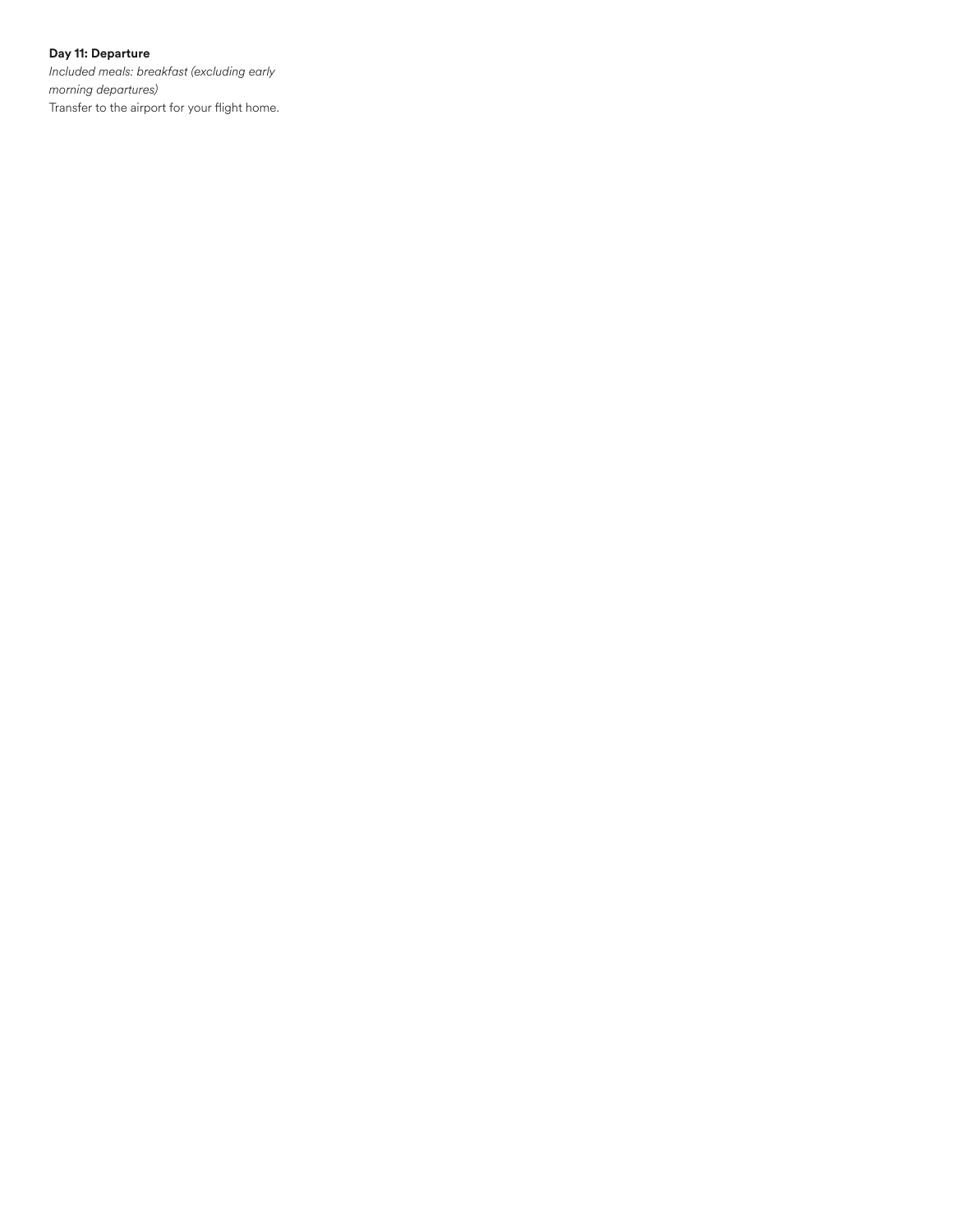### Day 11: Departure

*Included meals: breakfast (excluding early morning departures)* Transfer to the airport for your flight home.